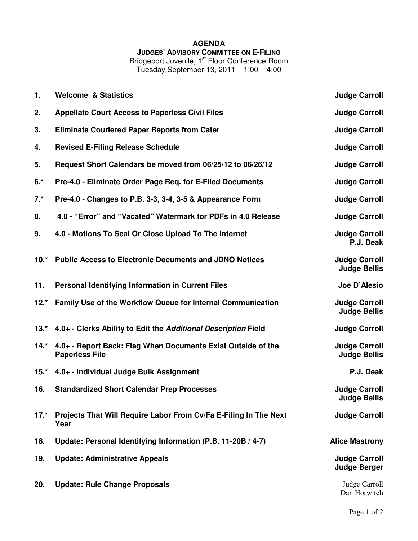## **AGENDA JUDGES' ADVISORY COMMITTEE ON E-FILING**

Bridgeport Juvenile, 1<sup>st</sup> Floor Conference Room

Tuesday September 13, 2011 – 1:00 – 4:00

| 1.     | <b>Welcome &amp; Statistics</b>                                                       | <b>Judge Carroll</b>                        |
|--------|---------------------------------------------------------------------------------------|---------------------------------------------|
| 2.     | <b>Appellate Court Access to Paperless Civil Files</b>                                | <b>Judge Carroll</b>                        |
| 3.     | <b>Eliminate Couriered Paper Reports from Cater</b>                                   | <b>Judge Carroll</b>                        |
| 4.     | <b>Revised E-Filing Release Schedule</b>                                              | <b>Judge Carroll</b>                        |
| 5.     | Request Short Calendars be moved from 06/25/12 to 06/26/12                            | <b>Judge Carroll</b>                        |
| $6.*$  | Pre-4.0 - Eliminate Order Page Req. for E-Filed Documents                             | <b>Judge Carroll</b>                        |
| $7.*$  | Pre-4.0 - Changes to P.B. 3-3, 3-4, 3-5 & Appearance Form                             | <b>Judge Carroll</b>                        |
| 8.     | 4.0 - "Error" and "Vacated" Watermark for PDFs in 4.0 Release                         | <b>Judge Carroll</b>                        |
| 9.     | 4.0 - Motions To Seal Or Close Upload To The Internet                                 | <b>Judge Carroll</b><br>P.J. Deak           |
| $10.*$ | <b>Public Access to Electronic Documents and JDNO Notices</b>                         | <b>Judge Carroll</b><br><b>Judge Bellis</b> |
| 11.    | Personal Identifying Information in Current Files                                     | Joe D'Alesio                                |
| $12.*$ | Family Use of the Workflow Queue for Internal Communication                           | <b>Judge Carroll</b><br><b>Judge Bellis</b> |
| $13.*$ | 4.0+ - Clerks Ability to Edit the Additional Description Field                        | <b>Judge Carroll</b>                        |
| $14.*$ | 4.0+ - Report Back: Flag When Documents Exist Outside of the<br><b>Paperless File</b> | <b>Judge Carroll</b><br><b>Judge Bellis</b> |
| $15.*$ | 4.0+ - Individual Judge Bulk Assignment                                               | P.J. Deak                                   |
| 16.    | <b>Standardized Short Calendar Prep Processes</b>                                     | <b>Judge Carroll</b><br><b>Judge Bellis</b> |
| $17.*$ | Projects That Will Require Labor From Cv/Fa E-Filing In The Next<br>Year              | <b>Judge Carroll</b>                        |
| 18.    | Update: Personal Identifying Information (P.B. 11-20B / 4-7)                          | <b>Alice Mastrony</b>                       |
| 19.    | <b>Update: Administrative Appeals</b>                                                 | <b>Judge Carroll</b><br><b>Judge Berger</b> |
| 20.    | <b>Update: Rule Change Proposals</b>                                                  | Judge Carroll<br>Dan Horwitch               |